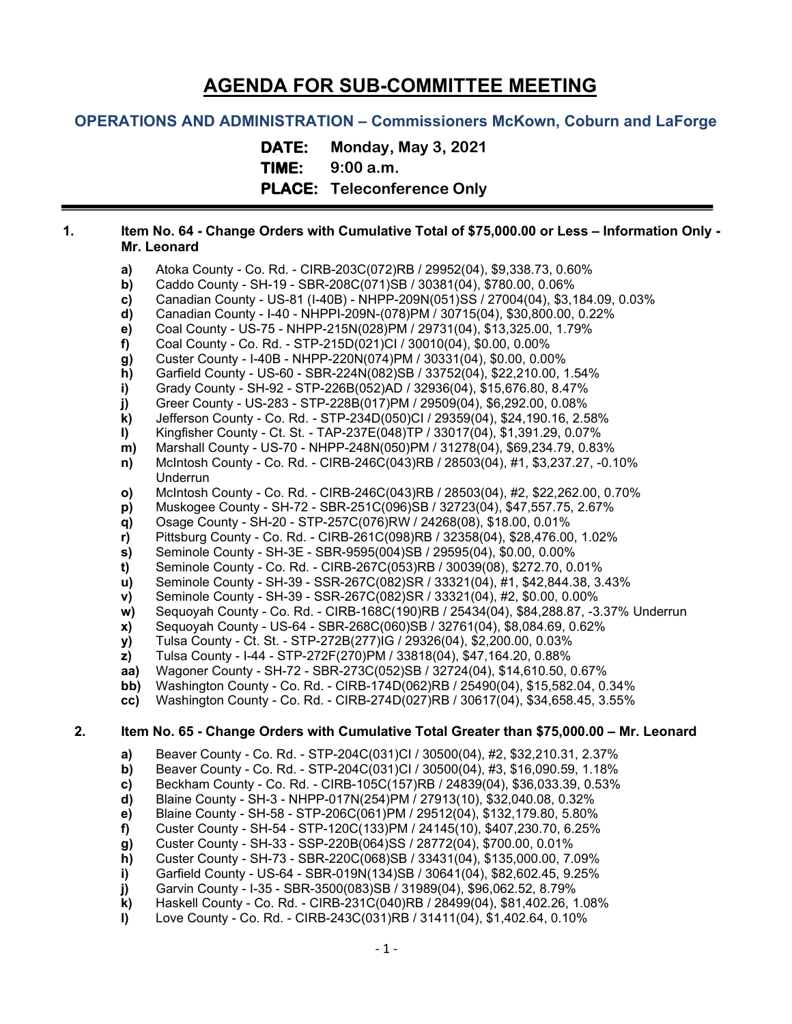# **AGENDA FOR SUB-COMMITTEE MEETING**

## **OPERATIONS AND ADMINISTRATION – Commissioners McKown, Coburn and LaForge**

**DATE: Monday, May 3, 2021 TIME: 9:00 a.m. PLACE: Teleconference Only**

#### **1. Item No. 64 - Change Orders with Cumulative Total of \$75,000.00 or Less – Information Only - Mr. Leonard**

- **a)** Atoka County Co. Rd. CIRB-203C(072)RB / 29952(04), \$9,338.73, 0.60%
- **b)** Caddo County SH-19 SBR-208C(071)SB / 30381(04), \$780.00, 0.06%<br>**c)** Canadian County US-81 (I-40B) NHPP-209N(051)SS / 27004(04), \$3,1
- **c)** Canadian County US-81 (I-40B) NHPP-209N(051)SS / 27004(04), \$3,184.09, 0.03%
- **d)** Canadian County I-40 NHPPI-209N-(078)PM / 30715(04), \$30,800.00, 0.22%
- **e)** Coal County US-75 NHPP-215N(028)PM / 29731(04), \$13,325.00, 1.79%
- **f)** Coal County Co. Rd. STP-215D(021)CI / 30010(04), \$0.00, 0.00%
- **g)** Custer County I-40B NHPP-220N(074)PM / 30331(04), \$0.00, 0.00%
- **h)** Garfield County US-60 SBR-224N(082)SB / 33752(04), \$22,210.00, 1.54%
- **i)** Grady County SH-92 STP-226B(052)AD / 32936(04), \$15,676.80, 8.47%
- **j)** Greer County US-283 STP-228B(017)PM / 29509(04), \$6,292.00, 0.08%
- **k)** Jefferson County Co. Rd. STP-234D(050)CI / 29359(04), \$24,190.16, 2.58%
- **l)** Kingfisher County Ct. St. TAP-237E(048)TP / 33017(04), \$1,391.29, 0.07%
- **m)** Marshall County US-70 NHPP-248N(050)PM / 31278(04), \$69,234.79, 0.83%
- **n)** McIntosh County Co. Rd. CIRB-246C(043)RB / 28503(04), #1, \$3,237.27, -0.10% Underrun
- **o)** McIntosh County Co. Rd. CIRB-246C(043)RB / 28503(04), #2, \$22,262.00, 0.70%
- **p)** Muskogee County SH-72 SBR-251C(096)SB / 32723(04), \$47,557.75, 2.67%
- **q)** Osage County SH-20 STP-257C(076)RW / 24268(08), \$18.00, 0.01%
- **r)** Pittsburg County Co. Rd. CIRB-261C(098)RB / 32358(04), \$28,476.00, 1.02%
- **s)** Seminole County SH-3E SBR-9595(004)SB / 29595(04), \$0.00, 0.00%
- **t)** Seminole County Co. Rd. CIRB-267C(053)RB / 30039(08), \$272.70, 0.01%
- **u)** Seminole County SH-39 SSR-267C(082)SR / 33321(04), #1, \$42,844.38, 3.43%
- **v)** Seminole County SH-39 SSR-267C(082)SR / 33321(04), #2, \$0.00, 0.00%
- **w)** Sequoyah County Co. Rd. CIRB-168C(190)RB / 25434(04), \$84,288.87, -3.37% Underrun
- **x)** Sequoyah County US-64 SBR-268C(060)SB / 32761(04), \$8,084.69, 0.62%
- **y)** Tulsa County Ct. St. STP-272B(277)IG / 29326(04), \$2,200.00, 0.03%
- **z)** Tulsa County I-44 STP-272F(270)PM / 33818(04), \$47,164.20, 0.88%
- **aa)** Wagoner County SH-72 SBR-273C(052)SB / 32724(04), \$14,610.50, 0.67%
- **bb)** Washington County Co. Rd. CIRB-174D(062)RB / 25490(04), \$15,582.04, 0.34%
- **cc)** Washington County Co. Rd. CIRB-274D(027)RB / 30617(04), \$34,658.45, 3.55%

#### **2. Item No. 65 - Change Orders with Cumulative Total Greater than \$75,000.00 – Mr. Leonard**

- 
- **a)** Beaver County Co. Rd. STP-204C(031)CI / 30500(04), #2, \$32,210.31, 2.37%
- **b)** Beaver County Co. Rd. STP-204C(031)CI / 30500(04), #3, \$16,090.59, 1.18%<br> **c)** Beckham County Co. Rd. CIRB-105C(157)RB / 24839(04), \$36,033.39, 0.53% **c)** Beckham County - Co. Rd. - CIRB-105C(157)RB / 24839(04), \$36,033.39, 0.53%
- **d)** Blaine County SH-3 NHPP-017N(254)PM / 27913(10), \$32,040.08, 0.32%
- **e)** Blaine County SH-58 STP-206C(061)PM / 29512(04), \$132,179.80, 5.80%
- **f)** Custer County SH-54 STP-120C(133)PM / 24145(10), \$407,230.70, 6.25%
- 
- **g)** Custer County SH-33 SSP-220B(064)SS / 28772(04), \$700.00, 0.01% **h)** Custer County - SH-73 - SBR-220C(068)SB / 33431(04), \$135,000.00, 7.09%
- **i)** Garfield County US-64 SBR-019N(134)SB / 30641(04), \$82,602.45, 9.25%
- **j)** Garvin County I-35 SBR-3500(083)SB / 31989(04), \$96,062.52, 8.79%
- **k)** Haskell County Co. Rd. CIRB-231C(040)RB / 28499(04), \$81,402.26, 1.08%
- **l)** Love County Co. Rd. CIRB-243C(031)RB / 31411(04), \$1,402.64, 0.10%